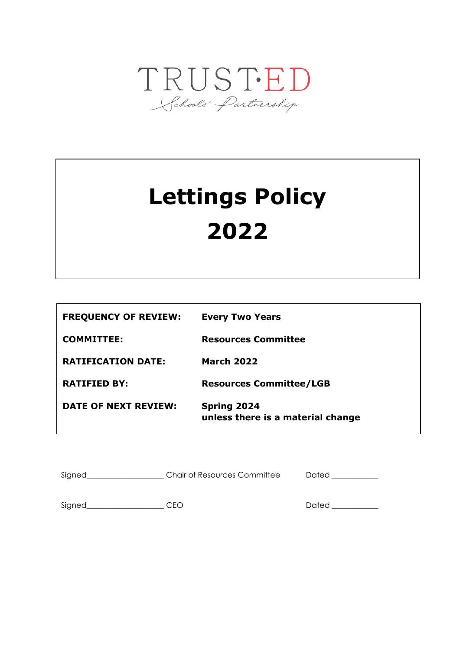

# **Lettings Policy 2022**

| <b>FREQUENCY OF REVIEW:</b> | <b>Every Two Years</b>                                  |
|-----------------------------|---------------------------------------------------------|
| <b>COMMITTEE:</b>           | <b>Resources Committee</b>                              |
| <b>RATIFICATION DATE:</b>   | <b>March 2022</b>                                       |
| <b>RATIFIED BY:</b>         | <b>Resources Committee/LGB</b>                          |
| DATE OF NEXT REVIEW:        | <b>Spring 2024</b><br>unless there is a material change |

| Signed | <b>Chair of Resources Committee</b> | Dated |
|--------|-------------------------------------|-------|
|        |                                     |       |

Signed\_\_\_\_\_\_\_\_\_\_\_\_\_\_\_\_\_\_\_\_ CEO Dated \_\_\_\_\_\_\_\_\_\_\_\_

**STATUS: AUTHOR:**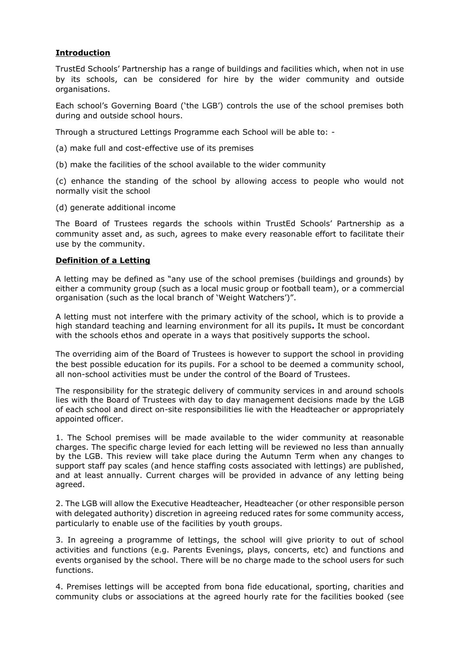# **Introduction**

TrustEd Schools' Partnership has a range of buildings and facilities which, when not in use by its schools, can be considered for hire by the wider community and outside organisations.

Each school's Governing Board ('the LGB') controls the use of the school premises both during and outside school hours.

Through a structured Lettings Programme each School will be able to: -

- (a) make full and cost-effective use of its premises
- (b) make the facilities of the school available to the wider community

(c) enhance the standing of the school by allowing access to people who would not normally visit the school

(d) generate additional income

The Board of Trustees regards the schools within TrustEd Schools' Partnership as a community asset and, as such, agrees to make every reasonable effort to facilitate their use by the community.

## **Definition of a Letting**

A letting may be defined as "any use of the school premises (buildings and grounds) by either a community group (such as a local music group or football team), or a commercial organisation (such as the local branch of 'Weight Watchers')".

A letting must not interfere with the primary activity of the school, which is to provide a high standard teaching and learning environment for all its pupils**.** It must be concordant with the schools ethos and operate in a ways that positively supports the school.

The overriding aim of the Board of Trustees is however to support the school in providing the best possible education for its pupils. For a school to be deemed a community school, all non-school activities must be under the control of the Board of Trustees.

The responsibility for the strategic delivery of community services in and around schools lies with the Board of Trustees with day to day management decisions made by the LGB of each school and direct on-site responsibilities lie with the Headteacher or appropriately appointed officer.

1. The School premises will be made available to the wider community at reasonable charges. The specific charge levied for each letting will be reviewed no less than annually by the LGB. This review will take place during the Autumn Term when any changes to support staff pay scales (and hence staffing costs associated with lettings) are published, and at least annually. Current charges will be provided in advance of any letting being agreed.

2. The LGB will allow the Executive Headteacher, Headteacher (or other responsible person with delegated authority) discretion in agreeing reduced rates for some community access, particularly to enable use of the facilities by youth groups.

3. In agreeing a programme of lettings, the school will give priority to out of school activities and functions (e.g. Parents Evenings, plays, concerts, etc) and functions and events organised by the school. There will be no charge made to the school users for such functions.

4. Premises lettings will be accepted from bona fide educational, sporting, charities and community clubs or associations at the agreed hourly rate for the facilities booked (see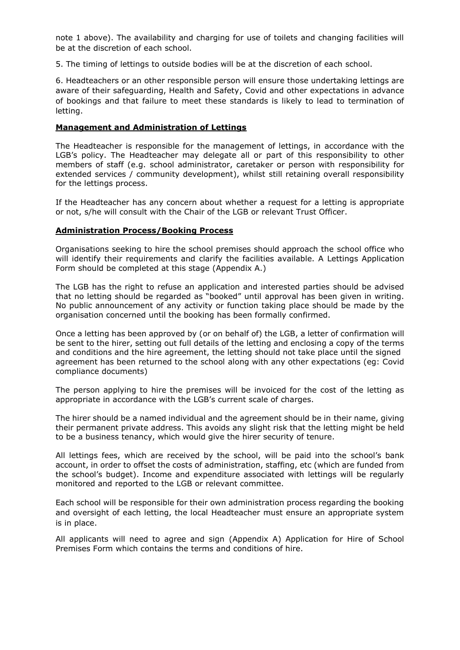note 1 above). The availability and charging for use of toilets and changing facilities will be at the discretion of each school.

5. The timing of lettings to outside bodies will be at the discretion of each school.

6. Headteachers or an other responsible person will ensure those undertaking lettings are aware of their safeguarding, Health and Safety, Covid and other expectations in advance of bookings and that failure to meet these standards is likely to lead to termination of letting.

## **Management and Administration of Lettings**

The Headteacher is responsible for the management of lettings, in accordance with the LGB's policy. The Headteacher may delegate all or part of this responsibility to other members of staff (e.g. school administrator, caretaker or person with responsibility for extended services / community development), whilst still retaining overall responsibility for the lettings process.

If the Headteacher has any concern about whether a request for a letting is appropriate or not, s/he will consult with the Chair of the LGB or relevant Trust Officer.

## **Administration Process/Booking Process**

Organisations seeking to hire the school premises should approach the school office who will identify their requirements and clarify the facilities available. A Lettings Application Form should be completed at this stage (Appendix A.)

The LGB has the right to refuse an application and interested parties should be advised that no letting should be regarded as "booked" until approval has been given in writing. No public announcement of any activity or function taking place should be made by the organisation concerned until the booking has been formally confirmed.

Once a letting has been approved by (or on behalf of) the LGB, a letter of confirmation will be sent to the hirer, setting out full details of the letting and enclosing a copy of the terms and conditions and the hire agreement, the letting should not take place until the signed agreement has been returned to the school along with any other expectations (eg: Covid compliance documents)

The person applying to hire the premises will be invoiced for the cost of the letting as appropriate in accordance with the LGB's current scale of charges.

The hirer should be a named individual and the agreement should be in their name, giving their permanent private address. This avoids any slight risk that the letting might be held to be a business tenancy, which would give the hirer security of tenure.

All lettings fees, which are received by the school, will be paid into the school's bank account, in order to offset the costs of administration, staffing, etc (which are funded from the school's budget). Income and expenditure associated with lettings will be regularly monitored and reported to the LGB or relevant committee.

Each school will be responsible for their own administration process regarding the booking and oversight of each letting, the local Headteacher must ensure an appropriate system is in place.

All applicants will need to agree and sign (Appendix A) Application for Hire of School Premises Form which contains the terms and conditions of hire.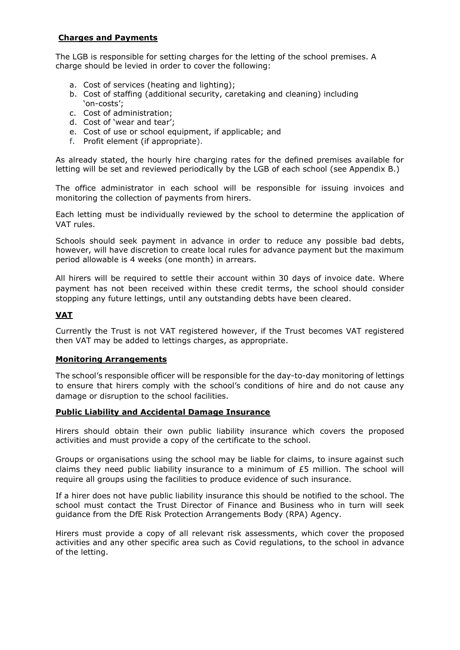# **Charges and Payments**

The LGB is responsible for setting charges for the letting of the school premises. A charge should be levied in order to cover the following:

- a. Cost of services (heating and lighting);
- b. Cost of staffing (additional security, caretaking and cleaning) including 'on-costs';
- c. Cost of administration;
- d. Cost of 'wear and tear';
- e. Cost of use or school equipment, if applicable; and
- f. Profit element (if appropriate).

As already stated, the hourly hire charging rates for the defined premises available for letting will be set and reviewed periodically by the LGB of each school (see Appendix B.)

The office administrator in each school will be responsible for issuing invoices and monitoring the collection of payments from hirers.

Each letting must be individually reviewed by the school to determine the application of VAT rules.

Schools should seek payment in advance in order to reduce any possible bad debts, however, will have discretion to create local rules for advance payment but the maximum period allowable is 4 weeks (one month) in arrears.

All hirers will be required to settle their account within 30 days of invoice date. Where payment has not been received within these credit terms, the school should consider stopping any future lettings, until any outstanding debts have been cleared.

# **VAT**

Currently the Trust is not VAT registered however, if the Trust becomes VAT registered then VAT may be added to lettings charges, as appropriate.

#### **Monitoring Arrangements**

The school's responsible officer will be responsible for the day-to-day monitoring of lettings to ensure that hirers comply with the school's conditions of hire and do not cause any damage or disruption to the school facilities.

#### **Public Liability and Accidental Damage Insurance**

Hirers should obtain their own public liability insurance which covers the proposed activities and must provide a copy of the certificate to the school.

Groups or organisations using the school may be liable for claims, to insure against such claims they need public liability insurance to a minimum of  $£5$  million. The school will require all groups using the facilities to produce evidence of such insurance.

If a hirer does not have public liability insurance this should be notified to the school. The school must contact the Trust Director of Finance and Business who in turn will seek guidance from the DfE Risk Protection Arrangements Body (RPA) Agency.

Hirers must provide a copy of all relevant risk assessments, which cover the proposed activities and any other specific area such as Covid regulations, to the school in advance of the letting.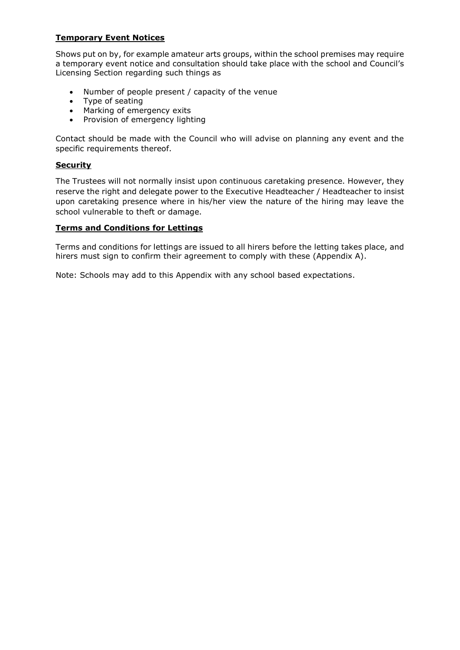# **Temporary Event Notices**

Shows put on by, for example amateur arts groups, within the school premises may require a temporary event notice and consultation should take place with the school and Council's Licensing Section regarding such things as

- Number of people present / capacity of the venue
- Type of seating
- Marking of emergency exits
- Provision of emergency lighting

Contact should be made with the Council who will advise on planning any event and the specific requirements thereof.

# **Security**

The Trustees will not normally insist upon continuous caretaking presence. However, they reserve the right and delegate power to the Executive Headteacher / Headteacher to insist upon caretaking presence where in his/her view the nature of the hiring may leave the school vulnerable to theft or damage.

## **Terms and Conditions for Lettings**

Terms and conditions for lettings are issued to all hirers before the letting takes place, and hirers must sign to confirm their agreement to comply with these (Appendix A).

Note: Schools may add to this Appendix with any school based expectations.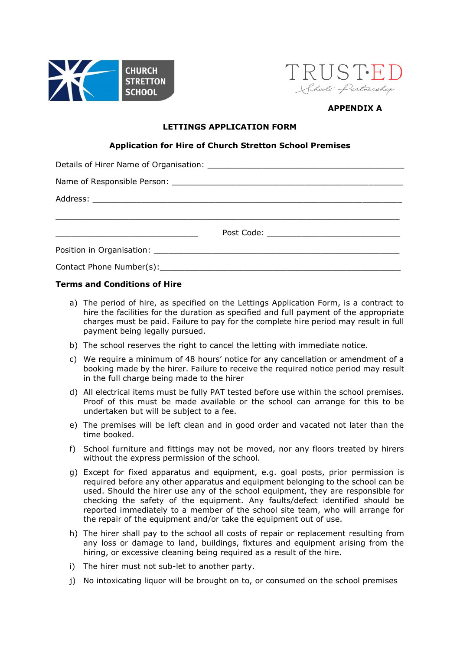



# **APPENDIX A**

## **LETTINGS APPLICATION FORM**

## **Application for Hire of Church Stretton School Premises**

| <u> 2000 - Andrea Andrews, amerikansk politik (d. 18</u> |  |
|----------------------------------------------------------|--|
|                                                          |  |
|                                                          |  |

## **Terms and Conditions of Hire**

- a) The period of hire, as specified on the Lettings Application Form, is a contract to hire the facilities for the duration as specified and full payment of the appropriate charges must be paid. Failure to pay for the complete hire period may result in full payment being legally pursued.
- b) The school reserves the right to cancel the letting with immediate notice.
- c) We require a minimum of 48 hours' notice for any cancellation or amendment of a booking made by the hirer. Failure to receive the required notice period may result in the full charge being made to the hirer
- d) All electrical items must be fully PAT tested before use within the school premises. Proof of this must be made available or the school can arrange for this to be undertaken but will be subject to a fee.
- e) The premises will be left clean and in good order and vacated not later than the time booked.
- f) School furniture and fittings may not be moved, nor any floors treated by hirers without the express permission of the school.
- g) Except for fixed apparatus and equipment, e.g. goal posts, prior permission is required before any other apparatus and equipment belonging to the school can be used. Should the hirer use any of the school equipment, they are responsible for checking the safety of the equipment. Any faults/defect identified should be reported immediately to a member of the school site team, who will arrange for the repair of the equipment and/or take the equipment out of use.
- h) The hirer shall pay to the school all costs of repair or replacement resulting from any loss or damage to land, buildings, fixtures and equipment arising from the hiring, or excessive cleaning being required as a result of the hire.
- i) The hirer must not sub-let to another party.
- j) No intoxicating liquor will be brought on to, or consumed on the school premises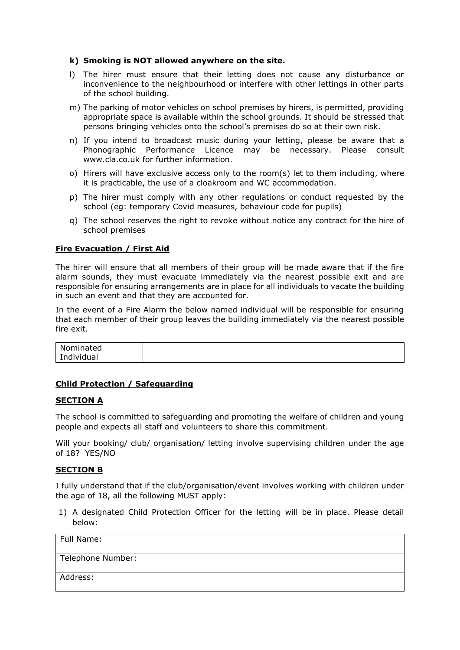#### **k) Smoking is NOT allowed anywhere on the site.**

- l) The hirer must ensure that their letting does not cause any disturbance or inconvenience to the neighbourhood or interfere with other lettings in other parts of the school building.
- m) The parking of motor vehicles on school premises by hirers, is permitted, providing appropriate space is available within the school grounds. It should be stressed that persons bringing vehicles onto the school's premises do so at their own risk.
- n) If you intend to broadcast music during your letting, please be aware that a Phonographic Performance Licence may be necessary. Please consult www.cla.co.uk for further information.
- o) Hirers will have exclusive access only to the room(s) let to them including, where it is practicable, the use of a cloakroom and WC accommodation.
- p) The hirer must comply with any other regulations or conduct requested by the school (eg: temporary Covid measures, behaviour code for pupils)
- q) The school reserves the right to revoke without notice any contract for the hire of school premises

## **Fire Evacuation / First Aid**

The hirer will ensure that all members of their group will be made aware that if the fire alarm sounds, they must evacuate immediately via the nearest possible exit and are responsible for ensuring arrangements are in place for all individuals to vacate the building in such an event and that they are accounted for.

In the event of a Fire Alarm the below named individual will be responsible for ensuring that each member of their group leaves the building immediately via the nearest possible fire exit.

| Nominated  |  |
|------------|--|
| Individual |  |

# **Child Protection / Safeguarding**

#### **SECTION A**

The school is committed to safeguarding and promoting the welfare of children and young people and expects all staff and volunteers to share this commitment.

Will your booking/ club/ organisation/ letting involve supervising children under the age of 18? YES/NO

#### **SECTION B**

I fully understand that if the club/organisation/event involves working with children under the age of 18, all the following MUST apply:

1) A designated Child Protection Officer for the letting will be in place. Please detail below:

| Full Name:        |  |
|-------------------|--|
| Telephone Number: |  |
| Address:          |  |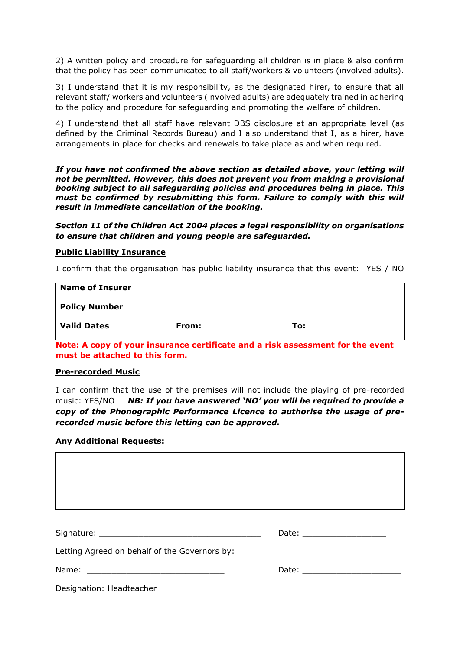2) A written policy and procedure for safeguarding all children is in place & also confirm that the policy has been communicated to all staff/workers & volunteers (involved adults).

3) I understand that it is my responsibility, as the designated hirer, to ensure that all relevant staff/ workers and volunteers (involved adults) are adequately trained in adhering to the policy and procedure for safeguarding and promoting the welfare of children.

4) I understand that all staff have relevant DBS disclosure at an appropriate level (as defined by the Criminal Records Bureau) and I also understand that I, as a hirer, have arrangements in place for checks and renewals to take place as and when required.

*If you have not confirmed the above section as detailed above, your letting will not be permitted. However, this does not prevent you from making a provisional booking subject to all safeguarding policies and procedures being in place. This must be confirmed by resubmitting this form. Failure to comply with this will result in immediate cancellation of the booking.* 

*Section 11 of the Children Act 2004 places a legal responsibility on organisations to ensure that children and young people are safeguarded.*

#### **Public Liability Insurance**

I confirm that the organisation has public liability insurance that this event: YES / NO

| <b>Name of Insurer</b> |       |     |
|------------------------|-------|-----|
| <b>Policy Number</b>   |       |     |
| <b>Valid Dates</b>     | From: | To: |

**Note: A copy of your insurance certificate and a risk assessment for the event must be attached to this form.**

#### **Pre-recorded Music**

I can confirm that the use of the premises will not include the playing of pre-recorded music: YES/NO *NB: If you have answered 'NO' you will be required to provide a copy of the Phonographic Performance Licence to authorise the usage of prerecorded music before this letting can be approved.*

#### **Any Additional Requests:**

Signature: \_\_\_\_\_\_\_\_\_\_\_\_\_\_\_\_\_\_\_\_\_\_\_\_\_\_\_\_\_\_\_\_\_ Date: \_\_\_\_\_\_\_\_\_\_\_\_\_\_\_\_\_

| ate:<br>৴⊂ |  |
|------------|--|
|------------|--|

Letting Agreed on behalf of the Governors by:

Name:  $\blacksquare$ 

Designation: Headteacher